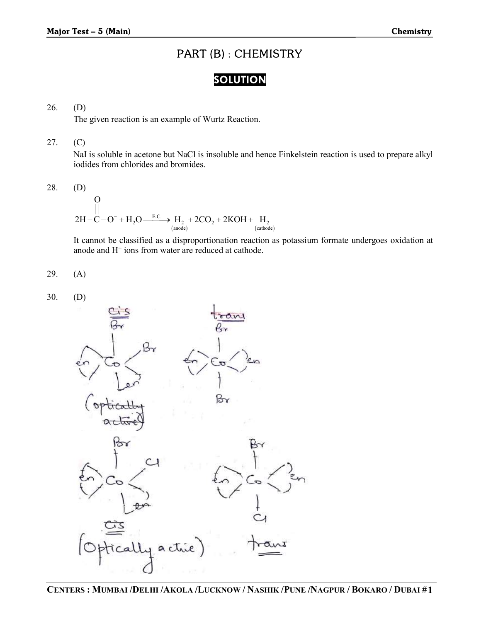# PART (B) : CHEMISTRY

## SOLUTION

## 26. (D)

The given reaction is an example of Wurtz Reaction.

## 27. (C)

NaI is soluble in acetone but NaCl is insoluble and hence Finkelstein reaction is used to prepare alkyl iodides from chlorides and bromides. **Chemistry**<br> **CHEMISTRY**<br> **COLUTION**<br>
Imple of Wurtz Reaction.<br>
ANGCI is insoluble and hence Finkelstein reaction is used to prepare alkyl<br>  $H_3 + 2CO_2 + 2KOH + H_3$ <br>  $H_3 + 2CO_2 + 2KOH + H_4$ <br>
(simidar)<br>
disproportionation reactio 2 2 2 2 **Chemistry**<br> **PART (B): CHEMISTRY**<br> **SOLUMON**<br>
mple of Wurtz Reaction.<br>
NACI is insoluble and hence Finkelstein reaction is used to prepare alkyl<br>
romides.<br>  $H_2 + 2CO_2 + 2KOH + H_2$ <br>
(cathode)<br>
disproportionation reaction as

28. (D)

E.C. 2H C O H O H 2CO 2KOH H O

 It cannot be classified as a disproportionation reaction as potassium formate undergoes oxidation at anode and H<sup>+</sup> ions from water are reduced at cathode.

$$
29. (A)
$$

30. (D)

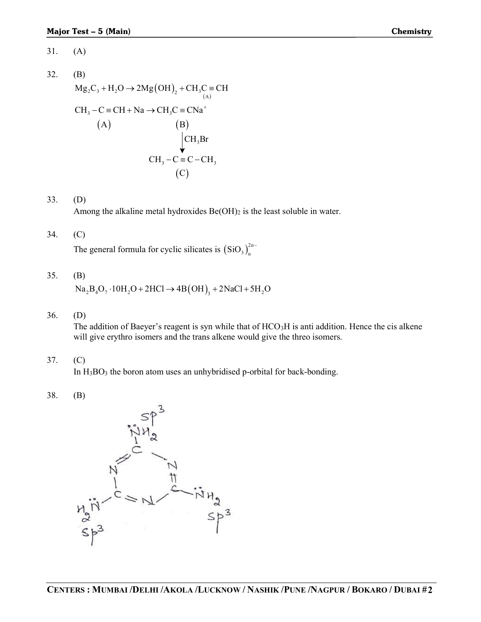- 31. (A)
- 32. (B)  $Mg_2C_3 + H_2O \rightarrow 2Mg(OH)_2 + CH_3C \equiv CH$ **Chemistry**<br> $C \equiv CH$ <br> $\left(\begin{array}{c} \triangle \\ \triangle \\ \end{array}\right)$ <br> $\Omega$  $(A)$ Fest – 5 (Main)<br>
(A)<br>
(B)<br>  $Mg_2C_3 + H_2O \rightarrow 2Mg(OH)_2 + CH_3C = CH$ <br>  $CH_3 - C = CH + Na \rightarrow CH_3C = CNa^+$ <br>
(A)<br>  $(B)$ <br>  $CH_3 - C = C - CH_3$ - 5 (Main)<br>
C<sub>3</sub> + H<sub>2</sub>O  $\rightarrow$  2Mg(OH)<sub>2</sub> + CH<sub>3</sub>C = CH<br>
- C = CH + Na  $\rightarrow$  CH<sub>3</sub>C = CNa<sup>+</sup><br>
(A) (B)<br>
CH<sub>3</sub>Br **Chemistry**<br>
CH<sub>3</sub>C = CH<br>
(A)<br>
CN<sub>3</sub><sup>+</sup><br>
(C)<br>
CH<sub>3</sub>Br<br>
(C – CH<sub>3</sub><br>
(B)<br>
(B) **Chemistry**<br>  $g(OH)_2 + CH_3C = CH$ <br>  $\rightarrow CH_3C = CNa^+$ <br>
(B)<br>  $CH_3 - C = C - CH_3$ <br>
(C)<br>  $P = C + CH_3$ <br>
(C)  $(A)$  (B)  $(C)$ 31. (A)<br>
32. (B)<br>  $Mg_xC_x + H_xO \rightarrow 2Mg(OH)_1 + CH_1C = CH$ <br>  $CH_1 - C = CH + Na \rightarrow CH_2C = Cha^+$ <br>
(A)<br>
(B)<br>  $CH_1 - C = C - CH_1$ <br>
(C)<br>
Among the alkaline metal hydroxides Be(OH)2 is the least soluble in water.<br>
34. (C)<br>
The general formula for cyclic sil

#### 33. (D)

Among the alkaline metal hydroxides  $Be(OH)_2$  is the least soluble in water.

#### 34. (C)

 $\text{SiO}_3$ <sub>2</sub><sup>2n-1</sup>

## 35. (B)

 $\text{Na}_2\text{B}_4\text{O}_7 \cdot 10\text{H}_2\text{O} + 2\text{HCl} \rightarrow 4\text{B(OH)}_3 + 2\text{NaCl} + 5\text{H}_2\text{O}$ 

36. (D)

The addition of Baeyer's reagent is syn while that of  $HCO<sub>3</sub>H$  is anti addition. Hence the cis alkene will give erythro isomers and the trans alkene would give the threo isomers.

37. (C)

In H3BO3 the boron atom uses an unhybridised p-orbital for back-bonding.

$$
38. \qquad \text{(B)}
$$

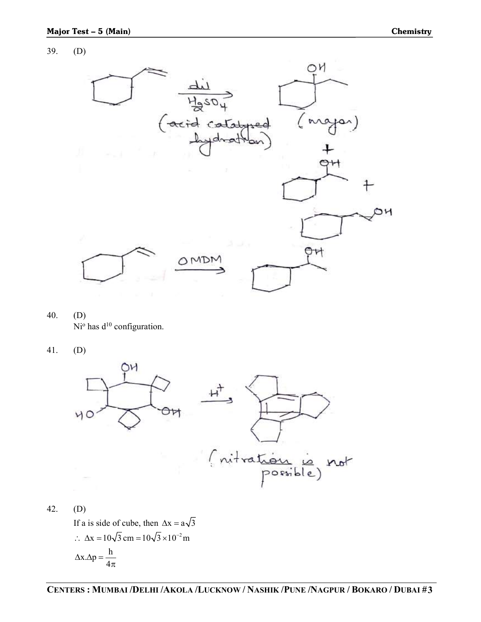### 39. (D)



- 40. (D)  $Ni<sup>o</sup>$  has  $d<sup>10</sup>$  configuration.
- 41. (D)



42. (D) If a is side of cube, then  $\Delta x = a\sqrt{3}$  $\therefore \Delta x = 10\sqrt{3} \text{ cm} = 10\sqrt{3} \times 10^{-2} \text{ m}$  $x \Delta p = \frac{h}{4}$  $\ddot{4}$  $\Delta x.\Delta p = \frac{1}{4}$  $\pi$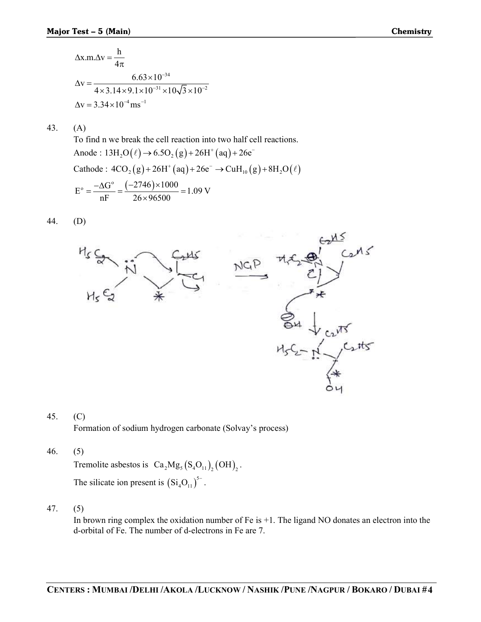$x.m.\Delta v = \frac{h}{4}$  $\overline{4}$  $\Delta x.m.\Delta v = \frac{1}{4}$ π 34  $31 \times 10^{-\sqrt{2}} \times 10^{-2}$  $v = \frac{6.63 \times 10^{-34}}{4 \times 3.14 \times 9.1 \times 10^{-31} \times 10\sqrt{3} \times 10^{-7}}$ ÷.  $-31 \times 10^{-7} \times 10^{-2}$  $\Delta v = \frac{6.63 \times 10^{-10}}{100}$  $\times$ 3.14 $\times$ 9.1 $\times$ 10<sup>-31</sup> $\times$ 10 $\sqrt{3}$  $\times$ 10  $\Delta v = 3.34 \times 10^{-4}$  ms<sup>-1</sup>

43. (A)

 To find n we break the cell reaction into two half cell reactions. Anode :  $13H_2O(\ell) \rightarrow 6.5O_2(g) + 26H^+(aq) + 26e^-$ Cathode :  $4CO_2(g) + 26H^+(aq) + 26e^- \rightarrow CuH_{10}(g) + 8H_2O(\ell)$  $E^{\circ} = \frac{-\Delta G^{\circ}}{E} = \frac{(-2746) \times 1000}{26.06580} = 1.09 \text{ V}$  $\overline{\text{nF}}$  –  $\frac{26 \times 96500}{\text{mF}}$  $=\frac{-\Delta G^{\circ}}{T}=\frac{(-2746)\times 1000}{266,06580}=1.$  $\times$ 

44. (D)



## 45. (C) Formation of sodium hydrogen carbonate (Solvay's process)

46. (5)

Tremolite asbestos is  $Ca<sub>2</sub>Mg<sub>5</sub>(S<sub>4</sub>O<sub>11</sub>)<sub>2</sub>(OH)<sub>2</sub>$ .  $\text{Si}_4\text{O}_{11}$ )<sup>5-</sup>.

47. (5)

In brown ring complex the oxidation number of  $Fe$  is  $+1$ . The ligand NO donates an electron into the d-orbital of Fe. The number of d-electrons in Fe are 7.